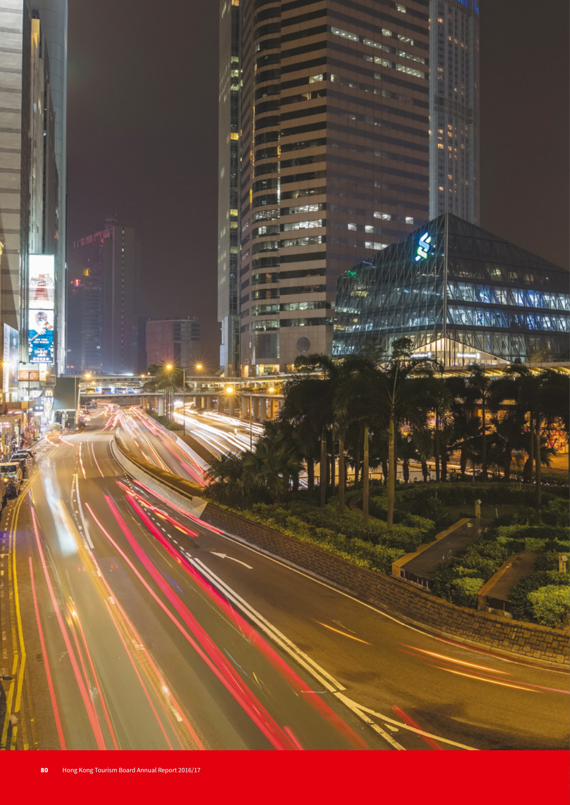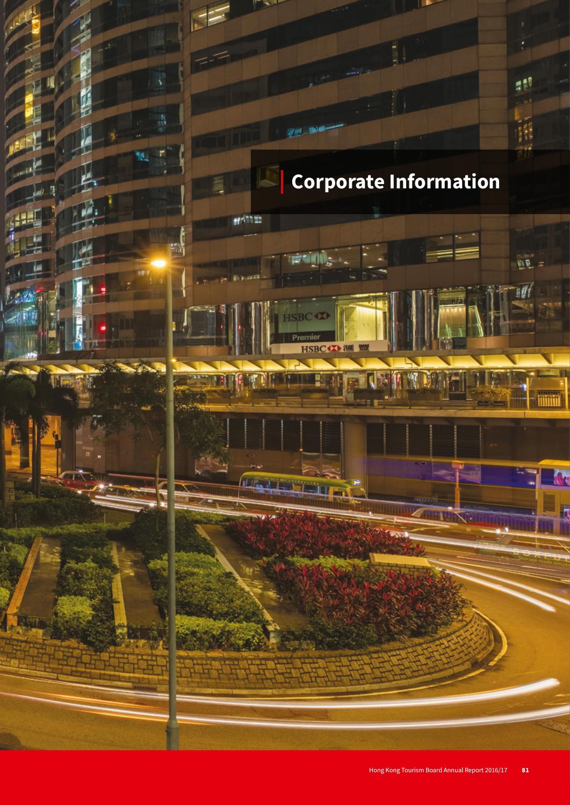# **Corporate Information**

 $\overline{\mathcal{M}}$ 

dat

M

J.

411

 $\frac{1}{\frac{1}{2} \left( \frac{1}{2} \right)^2}$ 

亞

'nď

WWW

h

 $\equiv$ 

 $\overline{\phantom{0}}$ 

E

Ľ

 $\overline{\phantom{a}}$ 

month

luli.

**THIRTIN** 

HSBC (工) 湘 豐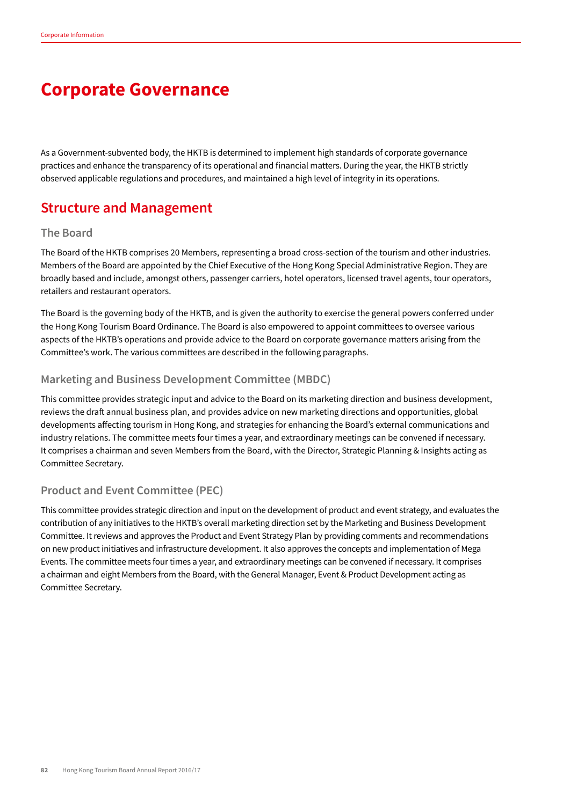# **Corporate Governance**

As a Government-subvented body, the HKTB is determined to implement high standards of corporate governance practices and enhance the transparency of its operational and financial matters. During the year, the HKTB strictly observed applicable regulations and procedures, and maintained a high level of integrity in its operations.

# **Structure and Management**

#### **The Board**

The Board of the HKTB comprises 20 Members, representing a broad cross-section of the tourism and other industries. Members of the Board are appointed by the Chief Executive of the Hong Kong Special Administrative Region. They are broadly based and include, amongst others, passenger carriers, hotel operators, licensed travel agents, tour operators, retailers and restaurant operators.

The Board is the governing body of the HKTB, and is given the authority to exercise the general powers conferred under the Hong Kong Tourism Board Ordinance. The Board is also empowered to appoint committees to oversee various aspects of the HKTB's operations and provide advice to the Board on corporate governance matters arising from the Committee's work. The various committees are described in the following paragraphs.

### **Marketing and Business Development Committee (MBDC)**

This committee provides strategic input and advice to the Board on its marketing direction and business development, reviews the draft annual business plan, and provides advice on new marketing directions and opportunities, global developments affecting tourism in Hong Kong, and strategies for enhancing the Board's external communications and industry relations. The committee meets four times a year, and extraordinary meetings can be convened if necessary. It comprises a chairman and seven Members from the Board, with the Director, Strategic Planning & Insights acting as Committee Secretary.

### **Product and Event Committee (PEC)**

This committee provides strategic direction and input on the development of product and event strategy, and evaluates the contribution of any initiatives to the HKTB's overall marketing direction set by the Marketing and Business Development Committee. It reviews and approves the Product and Event Strategy Plan by providing comments and recommendations on new product initiatives and infrastructure development. It also approves the concepts and implementation of Mega Events. The committee meets four times a year, and extraordinary meetings can be convened if necessary. It comprises a chairman and eight Members from the Board, with the General Manager, Event & Product Development acting as Committee Secretary.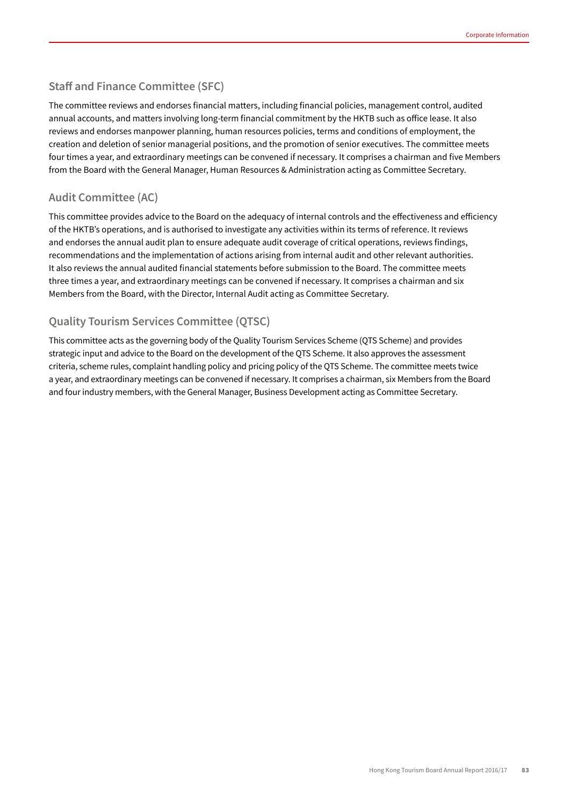### **Staff and Finance Committee (SFC)**

The committee reviews and endorses financial matters, including financial policies, management control, audited annual accounts, and matters involving long-term financial commitment by the HKTB such as office lease. It also reviews and endorses manpower planning, human resources policies, terms and conditions of employment, the creation and deletion of senior managerial positions, and the promotion of senior executives. The committee meets four times a year, and extraordinary meetings can be convened if necessary. It comprises a chairman and five Members from the Board with the General Manager, Human Resources & Administration acting as Committee Secretary.

#### **Audit Committee (AC)**

This committee provides advice to the Board on the adequacy of internal controls and the effectiveness and efficiency of the HKTB's operations, and is authorised to investigate any activities within its terms of reference. It reviews and endorses the annual audit plan to ensure adequate audit coverage of critical operations, reviews findings, recommendations and the implementation of actions arising from internal audit and other relevant authorities. It also reviews the annual audited financial statements before submission to the Board. The committee meets three times a year, and extraordinary meetings can be convened if necessary. It comprises a chairman and six Members from the Board, with the Director, Internal Audit acting as Committee Secretary.

### **Quality Tourism Services Committee (QTSC)**

This committee acts as the governing body of the Quality Tourism Services Scheme (QTS Scheme) and provides strategic input and advice to the Board on the development of the QTS Scheme. It also approves the assessment criteria, scheme rules, complaint handling policy and pricing policy of the QTS Scheme. The committee meets twice a year, and extraordinary meetings can be convened if necessary. It comprises a chairman, six Members from the Board and four industry members, with the General Manager, Business Development acting as Committee Secretary.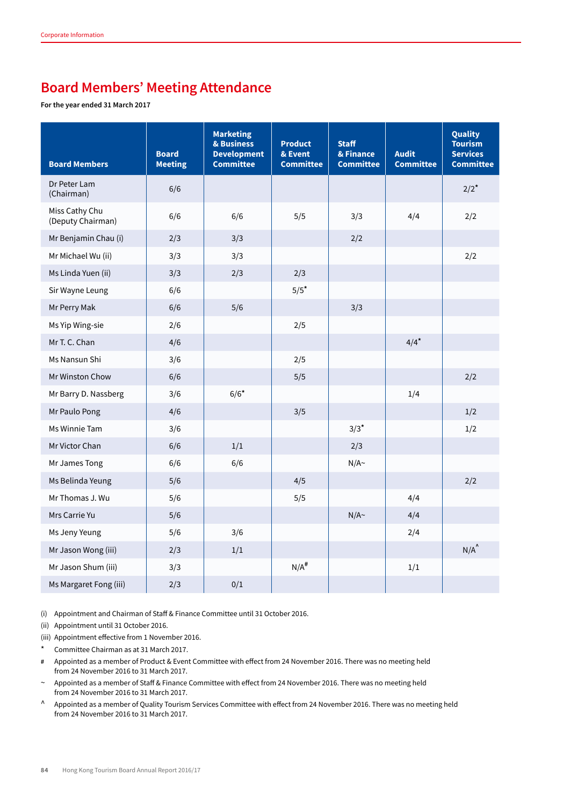# **Board Members' Meeting Attendance**

**For the year ended 31 March 2017**

| <b>Board Members</b>                | <b>Board</b><br><b>Meeting</b> | <b>Marketing</b><br>& Business<br><b>Development</b><br><b>Committee</b> | <b>Product</b><br>& Event<br><b>Committee</b> | <b>Staff</b><br>& Finance<br><b>Committee</b> | <b>Audit</b><br><b>Committee</b> | Quality<br><b>Tourism</b><br><b>Services</b><br><b>Committee</b> |
|-------------------------------------|--------------------------------|--------------------------------------------------------------------------|-----------------------------------------------|-----------------------------------------------|----------------------------------|------------------------------------------------------------------|
| Dr Peter Lam<br>(Chairman)          | 6/6                            |                                                                          |                                               |                                               |                                  | $2/2^*$                                                          |
| Miss Cathy Chu<br>(Deputy Chairman) | 6/6                            | 6/6                                                                      | 5/5                                           | 3/3                                           | 4/4                              | 2/2                                                              |
| Mr Benjamin Chau (i)                | 2/3                            | 3/3                                                                      |                                               | 2/2                                           |                                  |                                                                  |
| Mr Michael Wu (ii)                  | 3/3                            | 3/3                                                                      |                                               |                                               |                                  | 2/2                                                              |
| Ms Linda Yuen (ii)                  | 3/3                            | 2/3                                                                      | 2/3                                           |                                               |                                  |                                                                  |
| Sir Wayne Leung                     | 6/6                            |                                                                          | $5/5$ *                                       |                                               |                                  |                                                                  |
| Mr Perry Mak                        | 6/6                            | 5/6                                                                      |                                               | 3/3                                           |                                  |                                                                  |
| Ms Yip Wing-sie                     | 2/6                            |                                                                          | 2/5                                           |                                               |                                  |                                                                  |
| Mr T. C. Chan                       | 4/6                            |                                                                          |                                               |                                               | $4/4*$                           |                                                                  |
| Ms Nansun Shi                       | 3/6                            |                                                                          | 2/5                                           |                                               |                                  |                                                                  |
| Mr Winston Chow                     | 6/6                            |                                                                          | 5/5                                           |                                               |                                  | 2/2                                                              |
| Mr Barry D. Nassberg                | 3/6                            | $6/6*$                                                                   |                                               |                                               | 1/4                              |                                                                  |
| Mr Paulo Pong                       | 4/6                            |                                                                          | 3/5                                           |                                               |                                  | 1/2                                                              |
| Ms Winnie Tam                       | 3/6                            |                                                                          |                                               | $3/3*$                                        |                                  | 1/2                                                              |
| Mr Victor Chan                      | 6/6                            | 1/1                                                                      |                                               | 2/3                                           |                                  |                                                                  |
| Mr James Tong                       | 6/6                            | 6/6                                                                      |                                               | $N/A$ ~                                       |                                  |                                                                  |
| Ms Belinda Yeung                    | 5/6                            |                                                                          | 4/5                                           |                                               |                                  | 2/2                                                              |
| Mr Thomas J. Wu                     | 5/6                            |                                                                          | 5/5                                           |                                               | 4/4                              |                                                                  |
| Mrs Carrie Yu                       | 5/6                            |                                                                          |                                               | $N/A$ ~                                       | 4/4                              |                                                                  |
| Ms Jeny Yeung                       | 5/6                            | 3/6                                                                      |                                               |                                               | 2/4                              |                                                                  |
| Mr Jason Wong (iii)                 | 2/3                            | 1/1                                                                      |                                               |                                               |                                  | $N/A^{\wedge}$                                                   |
| Mr Jason Shum (iii)                 | 3/3                            |                                                                          | $N/A^{\#}$                                    |                                               | 1/1                              |                                                                  |
| Ms Margaret Fong (iii)              | 2/3                            | 0/1                                                                      |                                               |                                               |                                  |                                                                  |

(i) Appointment and Chairman of Staff & Finance Committee until 31 October 2016.

(ii) Appointment until 31 October 2016.

(iii) Appointment effective from 1 November 2016.

\* Committee Chairman as at 31 March 2017.

- **#** Appointed as a member of Product & Event Committee with effect from 24 November 2016. There was no meeting held from 24 November 2016 to 31 March 2017.
- ~ Appointed as a member of Staff & Finance Committee with effect from 24 November 2016. There was no meeting held from 24 November 2016 to 31 March 2017.
- ^ Appointed as a member of Quality Tourism Services Committee with effect from 24 November 2016. There was no meeting held from 24 November 2016 to 31 March 2017.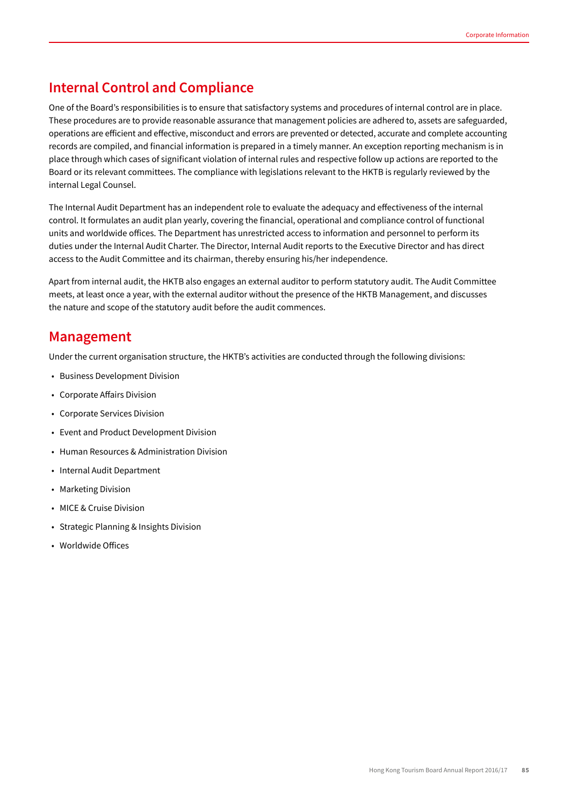# **Internal Control and Compliance**

One of the Board's responsibilities is to ensure that satisfactory systems and procedures of internal control are in place. These procedures are to provide reasonable assurance that management policies are adhered to, assets are safeguarded, operations are efficient and effective, misconduct and errors are prevented or detected, accurate and complete accounting records are compiled, and financial information is prepared in a timely manner. An exception reporting mechanism is in place through which cases of significant violation of internal rules and respective follow up actions are reported to the Board or its relevant committees. The compliance with legislations relevant to the HKTB is regularly reviewed by the internal Legal Counsel.

The Internal Audit Department has an independent role to evaluate the adequacy and effectiveness of the internal control. It formulates an audit plan yearly, covering the financial, operational and compliance control of functional units and worldwide offices. The Department has unrestricted access to information and personnel to perform its duties under the Internal Audit Charter. The Director, Internal Audit reports to the Executive Director and has direct access to the Audit Committee and its chairman, thereby ensuring his/her independence.

Apart from internal audit, the HKTB also engages an external auditor to perform statutory audit. The Audit Committee meets, at least once a year, with the external auditor without the presence of the HKTB Management, and discusses the nature and scope of the statutory audit before the audit commences.

### **Management**

Under the current organisation structure, the HKTB's activities are conducted through the following divisions:

- Business Development Division
- Corporate Affairs Division
- Corporate Services Division
- Event and Product Development Division
- Human Resources & Administration Division
- Internal Audit Department
- Marketing Division
- MICE & Cruise Division
- Strategic Planning & Insights Division
- Worldwide Offices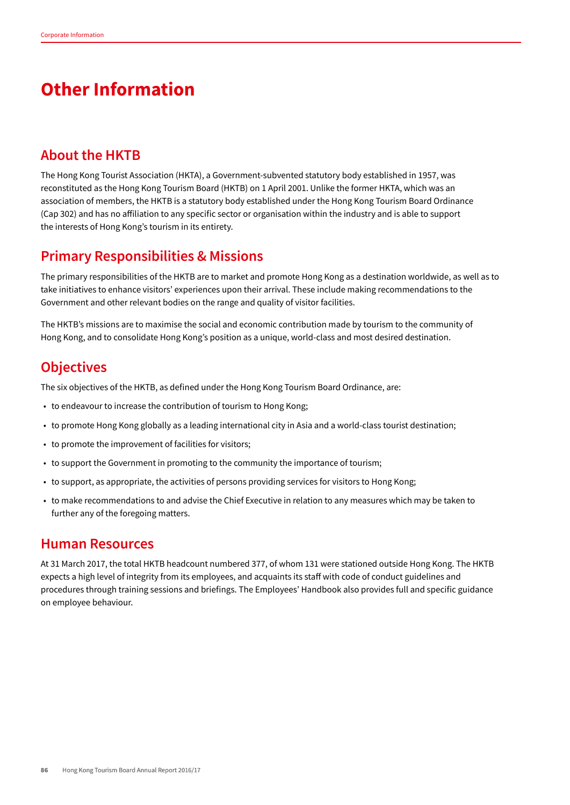# **Other Information**

# **About the HKTB**

The Hong Kong Tourist Association (HKTA), a Government-subvented statutory body established in 1957, was reconstituted as the Hong Kong Tourism Board (HKTB) on 1 April 2001. Unlike the former HKTA, which was an association of members, the HKTB is a statutory body established under the Hong Kong Tourism Board Ordinance (Cap 302) and has no affiliation to any specific sector or organisation within the industry and is able to support the interests of Hong Kong's tourism in its entirety.

# **Primary Responsibilities & Missions**

The primary responsibilities of the HKTB are to market and promote Hong Kong as a destination worldwide, as well as to take initiatives to enhance visitors' experiences upon their arrival. These include making recommendations to the Government and other relevant bodies on the range and quality of visitor facilities.

The HKTB's missions are to maximise the social and economic contribution made by tourism to the community of Hong Kong, and to consolidate Hong Kong's position as a unique, world-class and most desired destination.

# **Objectives**

The six objectives of the HKTB, as defined under the Hong Kong Tourism Board Ordinance, are:

- to endeavour to increase the contribution of tourism to Hong Kong;
- to promote Hong Kong globally as a leading international city in Asia and a world-class tourist destination;
- to promote the improvement of facilities for visitors;
- to support the Government in promoting to the community the importance of tourism;
- to support, as appropriate, the activities of persons providing services for visitors to Hong Kong;
- to make recommendations to and advise the Chief Executive in relation to any measures which may be taken to further any of the foregoing matters.

### **Human Resources**

At 31 March 2017, the total HKTB headcount numbered 377, of whom 131 were stationed outside Hong Kong. The HKTB expects a high level of integrity from its employees, and acquaints its staff with code of conduct guidelines and procedures through training sessions and briefings. The Employees' Handbook also provides full and specific guidance on employee behaviour.